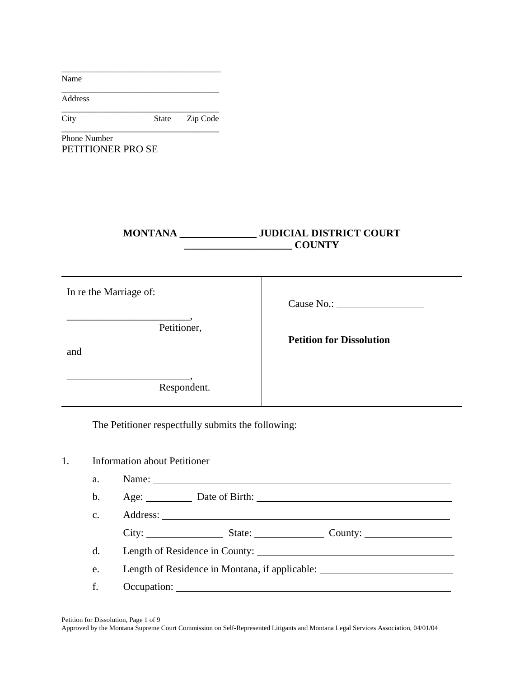| Name                              |             |          |                                                  |
|-----------------------------------|-------------|----------|--------------------------------------------------|
| Address                           |             |          |                                                  |
| City                              | State       | Zip Code |                                                  |
| Phone Number<br>PETITIONER PRO SE |             |          |                                                  |
|                                   |             |          |                                                  |
|                                   |             |          | MONTANA JUDICIAL DISTRICT COURT<br><b>COUNTY</b> |
| In re the Marriage of:            |             |          | Cause No.: _________                             |
| and                               | Petitioner, |          | <b>Petition for Dissolution</b>                  |
|                                   | Respondent. |          |                                                  |

The Petitioner respectfully submits the following:

# 1. Information about Petitioner

| a.              | Name: $\frac{1}{\sqrt{1-\frac{1}{2}}\sqrt{1-\frac{1}{2}}\sqrt{1-\frac{1}{2}}\sqrt{1-\frac{1}{2}}\sqrt{1-\frac{1}{2}}\sqrt{1-\frac{1}{2}}\sqrt{1-\frac{1}{2}}\sqrt{1-\frac{1}{2}}\sqrt{1-\frac{1}{2}}\sqrt{1-\frac{1}{2}}\sqrt{1-\frac{1}{2}}\sqrt{1-\frac{1}{2}}\sqrt{1-\frac{1}{2}}\sqrt{1-\frac{1}{2}}\sqrt{1-\frac{1}{2}}\sqrt{1-\frac{1}{2}}\sqrt{1-\frac{1}{2}}\sqrt{1-\frac{1}{2}}\sqrt{1-\frac{1}{2}}$ |  |  |  |
|-----------------|---------------------------------------------------------------------------------------------------------------------------------------------------------------------------------------------------------------------------------------------------------------------------------------------------------------------------------------------------------------------------------------------------------------|--|--|--|
| b.              | Age: Date of Birth:                                                                                                                                                                                                                                                                                                                                                                                           |  |  |  |
| $\mathcal{C}$ . |                                                                                                                                                                                                                                                                                                                                                                                                               |  |  |  |
|                 | County: $\sqrt{\frac{1}{2}$                                                                                                                                                                                                                                                                                                                                                                                   |  |  |  |
| d.              | Length of Residence in County:                                                                                                                                                                                                                                                                                                                                                                                |  |  |  |
| e.              | Length of Residence in Montana, if applicable:                                                                                                                                                                                                                                                                                                                                                                |  |  |  |
|                 |                                                                                                                                                                                                                                                                                                                                                                                                               |  |  |  |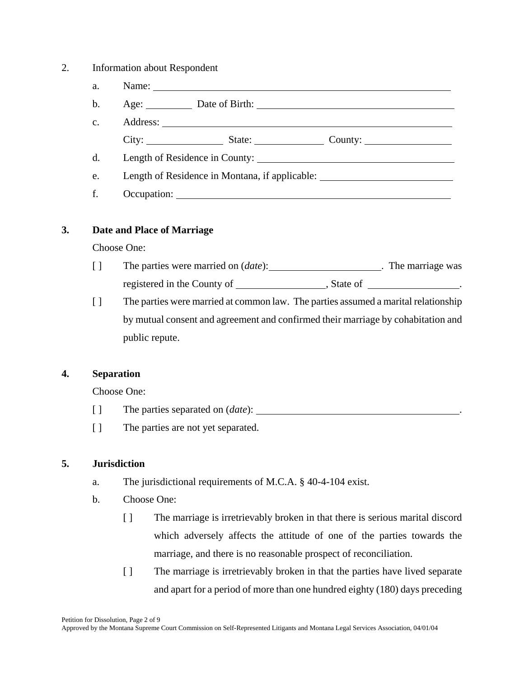#### 2. Information about Respondent

- a. Name:
- b. Age: Date of Birth:
- c. Address: City: State: County:
- d. Length of Residence in County:
- e. Length of Residence in Montana, if applicable:
- f. Occupation:

## **3. Date and Place of Marriage**

#### Choose One:

- [ ] The parties were married on (*date*): . The marriage was registered in the County of , State of .
- [ ] The parties were married at common law. The parties assumed a marital relationship by mutual consent and agreement and confirmed their marriage by cohabitation and public repute.

## **4. Separation**

Choose One:

- [ ] The parties separated on (*date*):
- [ ] The parties are not yet separated.

## **5. Jurisdiction**

- a. The jurisdictional requirements of M.C.A. § 40-4-104 exist.
- b. Choose One:
	- [ ] The marriage is irretrievably broken in that there is serious marital discord which adversely affects the attitude of one of the parties towards the marriage, and there is no reasonable prospect of reconciliation.
	- [ ] The marriage is irretrievably broken in that the parties have lived separate and apart for a period of more than one hundred eighty (180) days preceding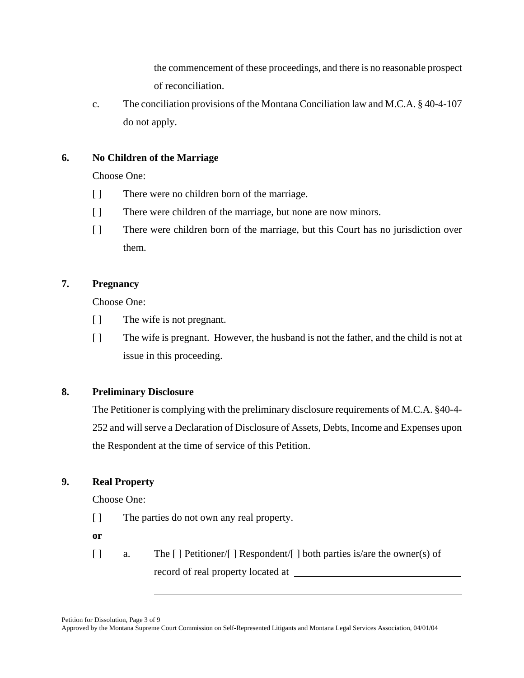the commencement of these proceedings, and there is no reasonable prospect of reconciliation.

c. The conciliation provisions of the Montana Conciliation law and M.C.A. § 40-4-107 do not apply.

# **6. No Children of the Marriage**

Choose One:

- [ ] There were no children born of the marriage.
- [ ] There were children of the marriage, but none are now minors.
- [ ] There were children born of the marriage, but this Court has no jurisdiction over them.

# **7. Pregnancy**

Choose One:

- [ ] The wife is not pregnant.
- [ ] The wife is pregnant. However, the husband is not the father, and the child is not at issue in this proceeding.

## **8. Preliminary Disclosure**

The Petitioner is complying with the preliminary disclosure requirements of M.C.A. §40-4- 252 and will serve a Declaration of Disclosure of Assets, Debts, Income and Expenses upon the Respondent at the time of service of this Petition.

## **9. Real Property**

Choose One:

[ ] The parties do not own any real property.

**or**

[ ] a. The [ ] Petitioner/[ ] Respondent/[ ] both parties is/are the owner(s) of record of real property located at **with a set of real property located** at **with a set of real property** 

Petition for Dissolution, Page 3 of 9

 $\overline{a}$ 

Approved by the Montana Supreme Court Commission on Self-Represented Litigants and Montana Legal Services Association, 04/01/04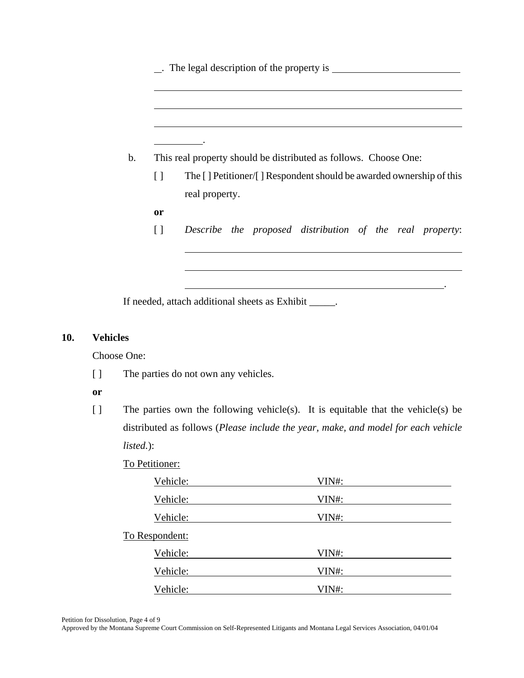. The legal description of the property is

|         | This real property should be distributed as follows. Choose One:    |
|---------|---------------------------------------------------------------------|
| $\perp$ | The [] Petitioner/[] Respondent should be awarded ownership of this |
|         | real property.                                                      |
| or      |                                                                     |
| $\Box$  | Describe the proposed distribution of the real property:            |

<u>. Andrew Maria Maria Maria Maria Maria Maria Maria Maria Maria Maria Maria Maria Maria Maria Maria Maria Mari</u>

If needed, attach additional sheets as Exhibit \_\_\_\_\_.

#### **10. Vehicles**

Choose One:

- [ ] The parties do not own any vehicles.
- **or**
- [ ] The parties own the following vehicle(s). It is equitable that the vehicle(s) be distributed as follows (*Please include the year, make, and model for each vehicle listed.*):

To Petitioner:

 $\overline{a}$ 

| Vehicle:       | VIN#: |  |
|----------------|-------|--|
| Vehicle:       | VIN#: |  |
| Vehicle:       | VIN#: |  |
| To Respondent: |       |  |
| Vehicle:       | VIN#: |  |
| Vehicle:       | VIN#: |  |
| Vehicle:       | VIN#: |  |

Approved by the Montana Supreme Court Commission on Self-Represented Litigants and Montana Legal Services Association, 04/01/04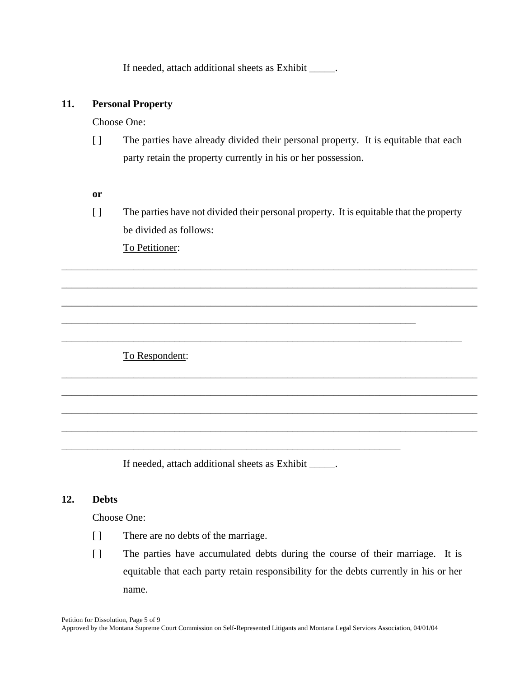If needed, attach additional sheets as Exhibit \_\_\_\_\_.

#### **11. Personal Property**

Choose One:

[ ] The parties have already divided their personal property. It is equitable that each party retain the property currently in his or her possession.

#### **or**

[ ] The parties have not divided their personal property. It is equitable that the property be divided as follows:

\_\_\_\_\_\_\_\_\_\_\_\_\_\_\_\_\_\_\_\_\_\_\_\_\_\_\_\_\_\_\_\_\_\_\_\_\_\_\_\_\_\_\_\_\_\_\_\_\_\_\_\_\_\_\_\_\_\_\_\_\_\_\_\_\_\_\_\_\_\_\_\_\_\_\_\_\_\_\_\_\_

\_\_\_\_\_\_\_\_\_\_\_\_\_\_\_\_\_\_\_\_\_\_\_\_\_\_\_\_\_\_\_\_\_\_\_\_\_\_\_\_\_\_\_\_\_\_\_\_\_\_\_\_\_\_\_\_\_\_\_\_\_\_\_\_\_\_\_\_\_\_\_\_\_\_\_\_\_\_\_\_\_

\_\_\_\_\_\_\_\_\_\_\_\_\_\_\_\_\_\_\_\_\_\_\_\_\_\_\_\_\_\_\_\_\_\_\_\_\_\_\_\_\_\_\_\_\_\_\_\_\_\_\_\_\_\_\_\_\_\_\_\_\_\_\_\_\_\_\_\_\_\_\_\_\_\_\_\_\_\_\_\_\_

\_\_\_\_\_\_\_\_\_\_\_\_\_\_\_\_\_\_\_\_\_\_\_\_\_\_\_\_\_\_\_\_\_\_\_\_\_\_\_\_\_\_\_\_\_\_\_\_\_\_\_\_\_\_\_\_\_\_\_\_\_\_\_\_\_\_\_\_\_\_\_\_\_\_\_\_\_\_

\_\_\_\_\_\_\_\_\_\_\_\_\_\_\_\_\_\_\_\_\_\_\_\_\_\_\_\_\_\_\_\_\_\_\_\_\_\_\_\_\_\_\_\_\_\_\_\_\_\_\_\_\_\_\_\_\_\_\_\_\_\_\_\_\_\_\_\_\_\_\_\_\_\_\_\_\_\_\_\_\_

\_\_\_\_\_\_\_\_\_\_\_\_\_\_\_\_\_\_\_\_\_\_\_\_\_\_\_\_\_\_\_\_\_\_\_\_\_\_\_\_\_\_\_\_\_\_\_\_\_\_\_\_\_\_\_\_\_\_\_\_\_\_\_\_\_\_\_\_\_\_\_\_\_\_\_\_\_\_\_\_\_

\_\_\_\_\_\_\_\_\_\_\_\_\_\_\_\_\_\_\_\_\_\_\_\_\_\_\_\_\_\_\_\_\_\_\_\_\_\_\_\_\_\_\_\_\_\_\_\_\_\_\_\_\_\_\_\_\_\_\_\_\_\_\_\_\_\_\_\_\_\_\_\_\_\_\_\_\_\_\_\_\_

\_\_\_\_\_\_\_\_\_\_\_\_\_\_\_\_\_\_\_\_\_\_\_\_\_\_\_\_\_\_\_\_\_\_\_\_\_\_\_\_\_\_\_\_\_\_\_\_\_\_\_\_\_\_\_\_\_\_\_\_\_\_\_\_\_\_\_\_\_\_\_\_\_\_\_\_\_\_\_\_\_

\_\_\_\_\_\_\_\_\_\_\_\_\_\_\_\_\_\_\_\_\_\_\_\_\_\_\_\_\_\_\_\_\_\_\_\_\_\_\_\_\_\_\_\_\_\_\_\_\_\_\_\_\_\_\_\_\_\_\_\_\_\_\_\_\_\_\_\_\_

To Petitioner:

To Respondent:

If needed, attach additional sheets as Exhibit \_\_\_\_\_.

\_\_\_\_\_\_\_\_\_\_\_\_\_\_\_\_\_\_\_\_\_\_\_\_\_\_\_\_\_\_\_\_\_\_\_\_\_\_\_\_\_\_\_\_\_\_\_\_\_\_\_\_\_\_\_\_\_\_\_\_\_\_\_\_\_\_

#### **12. Debts**

Choose One:

- [ ] There are no debts of the marriage.
- [ ] The parties have accumulated debts during the course of their marriage. It is equitable that each party retain responsibility for the debts currently in his or her name.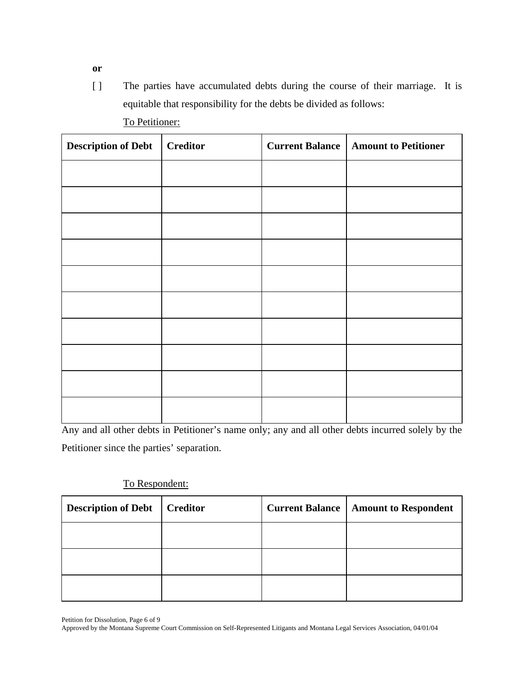[ ] The parties have accumulated debts during the course of their marriage. It is equitable that responsibility for the debts be divided as follows:

|--|

| <b>Description of Debt</b> | <b>Creditor</b> | <b>Current Balance</b> | <b>Amount to Petitioner</b> |
|----------------------------|-----------------|------------------------|-----------------------------|
|                            |                 |                        |                             |
|                            |                 |                        |                             |
|                            |                 |                        |                             |
|                            |                 |                        |                             |
|                            |                 |                        |                             |
|                            |                 |                        |                             |
|                            |                 |                        |                             |
|                            |                 |                        |                             |
|                            |                 |                        |                             |
|                            |                 |                        |                             |

Any and all other debts in Petitioner's name only; any and all other debts incurred solely by the Petitioner since the parties' separation.

## To Respondent:

| <b>Description of Debt</b> | <b>Creditor</b> | <b>Current Balance</b> | <b>Amount to Respondent</b> |
|----------------------------|-----------------|------------------------|-----------------------------|
|                            |                 |                        |                             |
|                            |                 |                        |                             |
|                            |                 |                        |                             |

Petition for Dissolution, Page 6 of 9

Approved by the Montana Supreme Court Commission on Self-Represented Litigants and Montana Legal Services Association, 04/01/04

**or**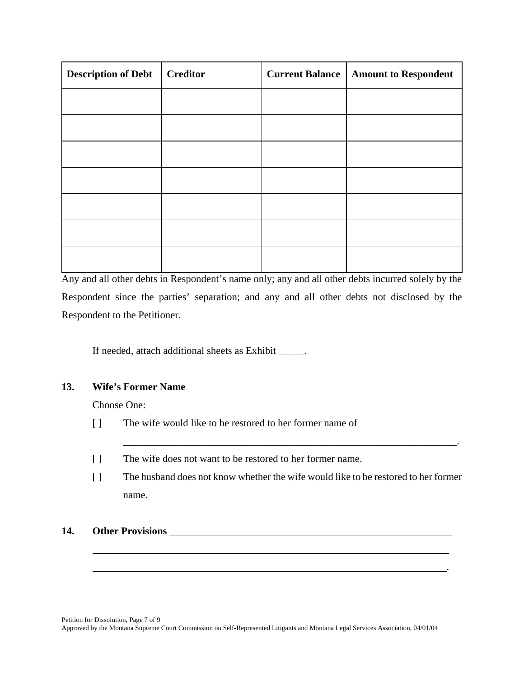| <b>Description of Debt</b> | <b>Creditor</b> | <b>Current Balance</b> | <b>Amount to Respondent</b> |
|----------------------------|-----------------|------------------------|-----------------------------|
|                            |                 |                        |                             |
|                            |                 |                        |                             |
|                            |                 |                        |                             |
|                            |                 |                        |                             |
|                            |                 |                        |                             |
|                            |                 |                        |                             |
|                            |                 |                        |                             |

Any and all other debts in Respondent's name only; any and all other debts incurred solely by the Respondent since the parties' separation; and any and all other debts not disclosed by the Respondent to the Petitioner.

If needed, attach additional sheets as Exhibit \_\_\_\_\_.

## **13. Wife's Former Name**

Choose One:

- [ ] The wife would like to be restored to her former name of
- [ ] The wife does not want to be restored to her former name.
- [ ] The husband does not know whether the wife would like to be restored to her former name.

<u>. Andre de la contrada de la contrada de la contrada de la contrada de la contrada de la contrada de la contra</u>

\_\_\_\_\_\_\_\_\_\_\_\_\_\_\_\_\_\_\_\_\_\_\_\_\_\_\_\_\_\_\_\_\_\_\_\_\_\_\_\_\_\_\_\_\_\_\_\_\_\_\_\_\_\_\_\_\_\_\_\_\_\_\_\_\_.

#### **14. Other Provisions**

 $\overline{a}$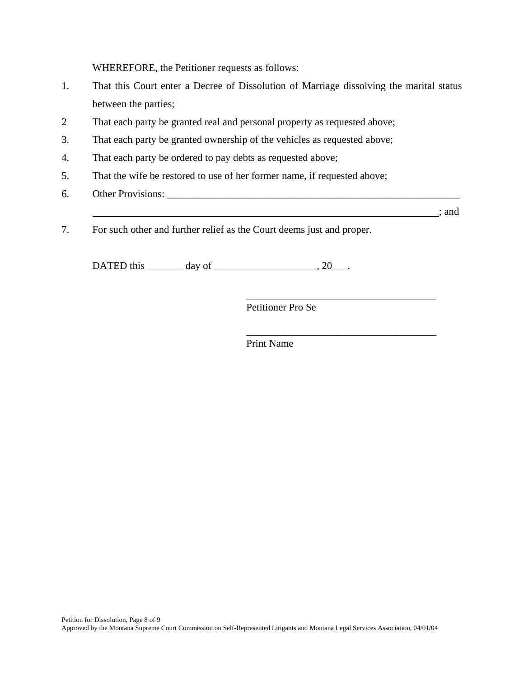WHEREFORE, the Petitioner requests as follows:

- 1. That this Court enter a Decree of Dissolution of Marriage dissolving the marital status between the parties;
- 2 That each party be granted real and personal property as requested above;
- 3. That each party be granted ownership of the vehicles as requested above;
- 4. That each party be ordered to pay debts as requested above;
- 5. That the wife be restored to use of her former name, if requested above;
- 6. Other Provisions:

 $\frac{\ }{}$  ; and

7. For such other and further relief as the Court deems just and proper.

DATED this  $\_\_\_\_\_\_\_\$  day of  $\_\_\_\_\_\_\_\_\_\_\_$ , 20 $\_\_\_\_\.\$ 

Petitioner Pro Se

\_\_\_\_\_\_\_\_\_\_\_\_\_\_\_\_\_\_\_\_\_\_\_\_\_\_\_\_\_\_\_\_\_\_\_\_\_

\_\_\_\_\_\_\_\_\_\_\_\_\_\_\_\_\_\_\_\_\_\_\_\_\_\_\_\_\_\_\_\_\_\_\_\_\_

Print Name